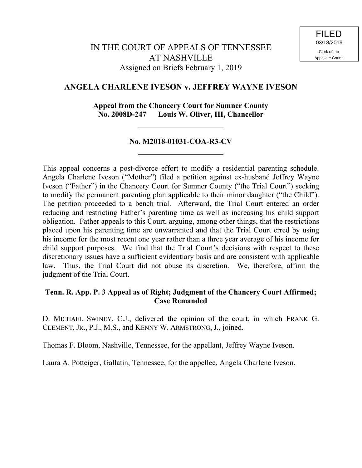# **ANGELA CHARLENE IVESON v. JEFFREY WAYNE IVESON**

## **Appeal from the Chancery Court for Sumner County No. 2008D-247 Louis W. Oliver, III, Chancellor**

# **No. M2018-01031-COA-R3-CV**

This appeal concerns a post-divorce effort to modify a residential parenting schedule. Angela Charlene Iveson ("Mother") filed a petition against ex-husband Jeffrey Wayne Iveson ("Father") in the Chancery Court for Sumner County ("the Trial Court") seeking to modify the permanent parenting plan applicable to their minor daughter ("the Child"). The petition proceeded to a bench trial. Afterward, the Trial Court entered an order reducing and restricting Father's parenting time as well as increasing his child support obligation. Father appeals to this Court, arguing, among other things, that the restrictions placed upon his parenting time are unwarranted and that the Trial Court erred by using his income for the most recent one year rather than a three year average of his income for child support purposes. We find that the Trial Court's decisions with respect to these discretionary issues have a sufficient evidentiary basis and are consistent with applicable law. Thus, the Trial Court did not abuse its discretion. We, therefore, affirm the judgment of the Trial Court.

## **Tenn. R. App. P. 3 Appeal as of Right; Judgment of the Chancery Court Affirmed; Case Remanded**

D. MICHAEL SWINEY, C.J., delivered the opinion of the court, in which FRANK G. CLEMENT, JR., P.J., M.S., and KENNY W. ARMSTRONG, J., joined.

Thomas F. Bloom, Nashville, Tennessee, for the appellant, Jeffrey Wayne Iveson.

Laura A. Potteiger, Gallatin, Tennessee, for the appellee, Angela Charlene Iveson.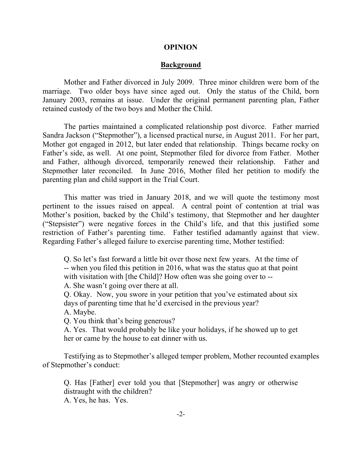#### **OPINION**

### **Background**

Mother and Father divorced in July 2009. Three minor children were born of the marriage. Two older boys have since aged out. Only the status of the Child, born January 2003, remains at issue. Under the original permanent parenting plan, Father retained custody of the two boys and Mother the Child.

The parties maintained a complicated relationship post divorce. Father married Sandra Jackson ("Stepmother"), a licensed practical nurse, in August 2011. For her part, Mother got engaged in 2012, but later ended that relationship. Things became rocky on Father's side, as well. At one point, Stepmother filed for divorce from Father. Mother and Father, although divorced, temporarily renewed their relationship. Father and Stepmother later reconciled. In June 2016, Mother filed her petition to modify the parenting plan and child support in the Trial Court.

This matter was tried in January 2018, and we will quote the testimony most pertinent to the issues raised on appeal. A central point of contention at trial was Mother's position, backed by the Child's testimony, that Stepmother and her daughter ("Stepsister") were negative forces in the Child's life, and that this justified some restriction of Father's parenting time. Father testified adamantly against that view. Regarding Father's alleged failure to exercise parenting time, Mother testified:

Q. So let's fast forward a little bit over those next few years. At the time of -- when you filed this petition in 2016, what was the status quo at that point with visitation with [the Child]? How often was she going over to --

A. She wasn't going over there at all.

Q. Okay. Now, you swore in your petition that you've estimated about six days of parenting time that he'd exercised in the previous year? A. Maybe.

Q. You think that's being generous?

A. Yes. That would probably be like your holidays, if he showed up to get her or came by the house to eat dinner with us.

Testifying as to Stepmother's alleged temper problem, Mother recounted examples of Stepmother's conduct:

Q. Has [Father] ever told you that [Stepmother] was angry or otherwise distraught with the children?

A. Yes, he has. Yes.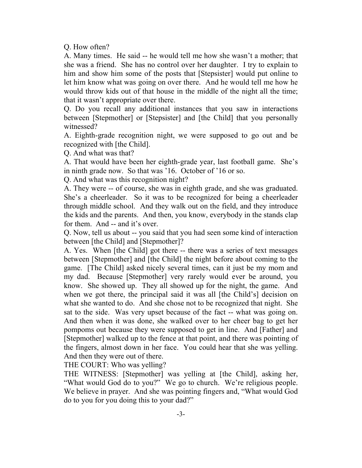Q. How often?

A. Many times. He said -- he would tell me how she wasn't a mother; that she was a friend. She has no control over her daughter. I try to explain to him and show him some of the posts that [Stepsister] would put online to let him know what was going on over there. And he would tell me how he would throw kids out of that house in the middle of the night all the time; that it wasn't appropriate over there.

Q. Do you recall any additional instances that you saw in interactions between [Stepmother] or [Stepsister] and [the Child] that you personally witnessed?

A. Eighth-grade recognition night, we were supposed to go out and be recognized with [the Child].

Q. And what was that?

A. That would have been her eighth-grade year, last football game. She's in ninth grade now. So that was '16. October of '16 or so.

Q. And what was this recognition night?

A. They were -- of course, she was in eighth grade, and she was graduated. She's a cheerleader. So it was to be recognized for being a cheerleader through middle school. And they walk out on the field, and they introduce the kids and the parents. And then, you know, everybody in the stands clap for them. And -- and it's over.

Q. Now, tell us about -- you said that you had seen some kind of interaction between [the Child] and [Stepmother]?

A. Yes. When [the Child] got there -- there was a series of text messages between [Stepmother] and [the Child] the night before about coming to the game. [The Child] asked nicely several times, can it just be my mom and my dad. Because [Stepmother] very rarely would ever be around, you know. She showed up. They all showed up for the night, the game. And when we got there, the principal said it was all [the Child's] decision on what she wanted to do. And she chose not to be recognized that night. She sat to the side. Was very upset because of the fact -- what was going on. And then when it was done, she walked over to her cheer bag to get her pompoms out because they were supposed to get in line. And [Father] and [Stepmother] walked up to the fence at that point, and there was pointing of the fingers, almost down in her face. You could hear that she was yelling. And then they were out of there.

THE COURT: Who was yelling?

THE WITNESS: [Stepmother] was yelling at [the Child], asking her, "What would God do to you?" We go to church. We're religious people. We believe in prayer. And she was pointing fingers and, "What would God do to you for you doing this to your dad?"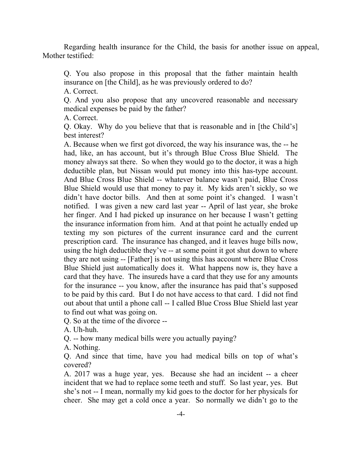Regarding health insurance for the Child, the basis for another issue on appeal, Mother testified:

Q. You also propose in this proposal that the father maintain health insurance on [the Child], as he was previously ordered to do?

A. Correct.

Q. And you also propose that any uncovered reasonable and necessary medical expenses be paid by the father?

A. Correct.

Q. Okay. Why do you believe that that is reasonable and in [the Child's] best interest?

A. Because when we first got divorced, the way his insurance was, the -- he had, like, an has account, but it's through Blue Cross Blue Shield. The money always sat there. So when they would go to the doctor, it was a high deductible plan, but Nissan would put money into this has-type account. And Blue Cross Blue Shield -- whatever balance wasn't paid, Blue Cross Blue Shield would use that money to pay it. My kids aren't sickly, so we didn't have doctor bills. And then at some point it's changed. I wasn't notified. I was given a new card last year -- April of last year, she broke her finger. And I had picked up insurance on her because I wasn't getting the insurance information from him. And at that point he actually ended up texting my son pictures of the current insurance card and the current prescription card. The insurance has changed, and it leaves huge bills now, using the high deductible they've -- at some point it got shut down to where they are not using -- [Father] is not using this has account where Blue Cross Blue Shield just automatically does it. What happens now is, they have a card that they have. The insureds have a card that they use for any amounts for the insurance -- you know, after the insurance has paid that's supposed to be paid by this card. But I do not have access to that card. I did not find out about that until a phone call -- I called Blue Cross Blue Shield last year to find out what was going on.

Q. So at the time of the divorce --

A. Uh-huh.

Q. -- how many medical bills were you actually paying?

A. Nothing.

Q. And since that time, have you had medical bills on top of what's covered?

A. 2017 was a huge year, yes. Because she had an incident -- a cheer incident that we had to replace some teeth and stuff. So last year, yes. But she's not -- I mean, normally my kid goes to the doctor for her physicals for cheer. She may get a cold once a year. So normally we didn't go to the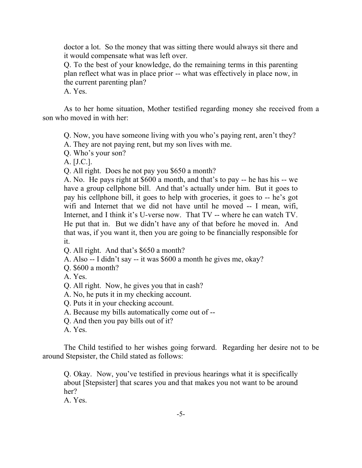doctor a lot. So the money that was sitting there would always sit there and it would compensate what was left over.

Q. To the best of your knowledge, do the remaining terms in this parenting plan reflect what was in place prior -- what was effectively in place now, in the current parenting plan?

A. Yes.

As to her home situation, Mother testified regarding money she received from a son who moved in with her:

Q. Now, you have someone living with you who's paying rent, aren't they?

A. They are not paying rent, but my son lives with me.

Q. Who's your son?

A. [J.C.].

Q. All right. Does he not pay you \$650 a month?

A. No. He pays right at \$600 a month, and that's to pay -- he has his -- we have a group cellphone bill. And that's actually under him. But it goes to pay his cellphone bill, it goes to help with groceries, it goes to -- he's got wifi and Internet that we did not have until he moved -- I mean, wifi, Internet, and I think it's U-verse now. That TV -- where he can watch TV. He put that in. But we didn't have any of that before he moved in. And that was, if you want it, then you are going to be financially responsible for it.

Q. All right. And that's \$650 a month?

A. Also -- I didn't say -- it was \$600 a month he gives me, okay?

Q. \$600 a month?

A. Yes.

Q. All right. Now, he gives you that in cash?

A. No, he puts it in my checking account.

Q. Puts it in your checking account.

A. Because my bills automatically come out of --

Q. And then you pay bills out of it?

A. Yes.

The Child testified to her wishes going forward. Regarding her desire not to be around Stepsister, the Child stated as follows:

Q. Okay. Now, you've testified in previous hearings what it is specifically about [Stepsister] that scares you and that makes you not want to be around her?

A. Yes.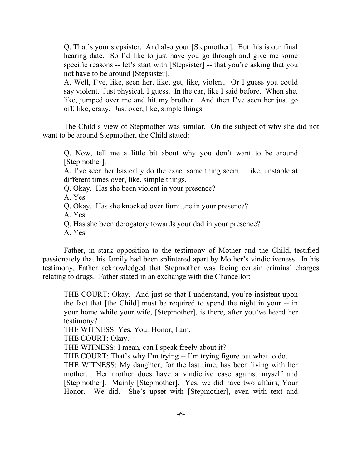Q. That's your stepsister. And also your [Stepmother]. But this is our final hearing date. So I'd like to just have you go through and give me some specific reasons -- let's start with [Stepsister] -- that you're asking that you not have to be around [Stepsister].

A. Well, I've, like, seen her, like, get, like, violent. Or I guess you could say violent. Just physical, I guess. In the car, like I said before. When she, like, jumped over me and hit my brother. And then I've seen her just go off, like, crazy. Just over, like, simple things.

The Child's view of Stepmother was similar. On the subject of why she did not want to be around Stepmother, the Child stated:

Q. Now, tell me a little bit about why you don't want to be around [Stepmother].

A. I've seen her basically do the exact same thing seem. Like, unstable at different times over, like, simple things.

Q. Okay. Has she been violent in your presence?

A. Yes.

Q. Okay. Has she knocked over furniture in your presence?

A. Yes.

Q. Has she been derogatory towards your dad in your presence?

A. Yes.

Father, in stark opposition to the testimony of Mother and the Child, testified passionately that his family had been splintered apart by Mother's vindictiveness. In his testimony, Father acknowledged that Stepmother was facing certain criminal charges relating to drugs. Father stated in an exchange with the Chancellor:

THE COURT: Okay. And just so that I understand, you're insistent upon the fact that [the Child] must be required to spend the night in your -- in your home while your wife, [Stepmother], is there, after you've heard her testimony?

THE WITNESS: Yes, Your Honor, I am.

THE COURT: Okay.

THE WITNESS: I mean, can I speak freely about it?

THE COURT: That's why I'm trying -- I'm trying figure out what to do.

THE WITNESS: My daughter, for the last time, has been living with her mother. Her mother does have a vindictive case against myself and [Stepmother]. Mainly [Stepmother]. Yes, we did have two affairs, Your Honor. We did. She's upset with [Stepmother], even with text and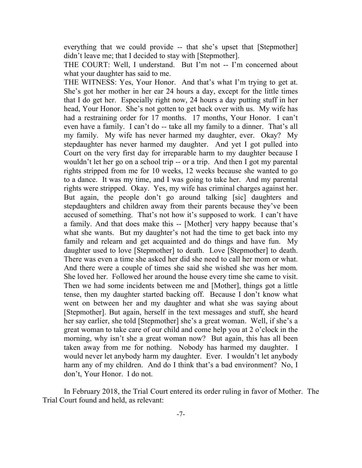everything that we could provide -- that she's upset that [Stepmother] didn't leave me; that I decided to stay with [Stepmother].

THE COURT: Well, I understand. But I'm not -- I'm concerned about what your daughter has said to me.

THE WITNESS: Yes, Your Honor. And that's what I'm trying to get at. She's got her mother in her ear 24 hours a day, except for the little times that I do get her. Especially right now, 24 hours a day putting stuff in her head, Your Honor. She's not gotten to get back over with us. My wife has had a restraining order for 17 months. 17 months, Your Honor. I can't even have a family. I can't do -- take all my family to a dinner. That's all my family. My wife has never harmed my daughter, ever. Okay? My stepdaughter has never harmed my daughter. And yet I got pulled into Court on the very first day for irreparable harm to my daughter because I wouldn't let her go on a school trip -- or a trip. And then I got my parental rights stripped from me for 10 weeks, 12 weeks because she wanted to go to a dance. It was my time, and I was going to take her. And my parental rights were stripped. Okay. Yes, my wife has criminal charges against her. But again, the people don't go around talking [sic] daughters and stepdaughters and children away from their parents because they've been accused of something. That's not how it's supposed to work. I can't have a family. And that does make this -- [Mother] very happy because that's what she wants. But my daughter's not had the time to get back into my family and relearn and get acquainted and do things and have fun. My daughter used to love [Stepmother] to death. Love [Stepmother] to death. There was even a time she asked her did she need to call her mom or what. And there were a couple of times she said she wished she was her mom. She loved her. Followed her around the house every time she came to visit. Then we had some incidents between me and [Mother], things got a little tense, then my daughter started backing off. Because I don't know what went on between her and my daughter and what she was saying about [Stepmother]. But again, herself in the text messages and stuff, she heard her say earlier, she told [Stepmother] she's a great woman. Well, if she's a great woman to take care of our child and come help you at 2 o'clock in the morning, why isn't she a great woman now? But again, this has all been taken away from me for nothing. Nobody has harmed my daughter. I would never let anybody harm my daughter. Ever. I wouldn't let anybody harm any of my children. And do I think that's a bad environment? No, I don't, Your Honor. I do not.

In February 2018, the Trial Court entered its order ruling in favor of Mother. The Trial Court found and held, as relevant: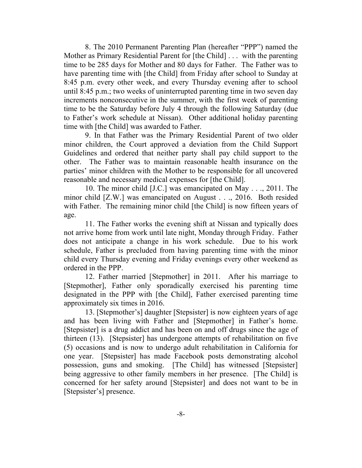8. The 2010 Permanent Parenting Plan (hereafter "PPP") named the Mother as Primary Residential Parent for [the Child] . . . with the parenting time to be 285 days for Mother and 80 days for Father. The Father was to have parenting time with [the Child] from Friday after school to Sunday at 8:45 p.m. every other week, and every Thursday evening after to school until 8:45 p.m.; two weeks of uninterrupted parenting time in two seven day increments nonconsecutive in the summer, with the first week of parenting time to be the Saturday before July 4 through the following Saturday (due to Father's work schedule at Nissan). Other additional holiday parenting time with [the Child] was awarded to Father.

9. In that Father was the Primary Residential Parent of two older minor children, the Court approved a deviation from the Child Support Guidelines and ordered that neither party shall pay child support to the other. The Father was to maintain reasonable health insurance on the parties' minor children with the Mother to be responsible for all uncovered reasonable and necessary medical expenses for [the Child].

10. The minor child [J.C.] was emancipated on May . . ., 2011. The minor child [Z.W.] was emancipated on August . . ., 2016. Both resided with Father. The remaining minor child [the Child] is now fifteen years of age.

11. The Father works the evening shift at Nissan and typically does not arrive home from work until late night, Monday through Friday. Father does not anticipate a change in his work schedule. Due to his work schedule, Father is precluded from having parenting time with the minor child every Thursday evening and Friday evenings every other weekend as ordered in the PPP.

12. Father married [Stepmother] in 2011. After his marriage to [Stepmother], Father only sporadically exercised his parenting time designated in the PPP with [the Child], Father exercised parenting time approximately six times in 2016.

13. [Stepmother's] daughter [Stepsister] is now eighteen years of age and has been living with Father and [Stepmother] in Father's home. [Stepsister] is a drug addict and has been on and off drugs since the age of thirteen (13). [Stepsister] has undergone attempts of rehabilitation on five (5) occasions and is now to undergo adult rehabilitation in California for one year. [Stepsister] has made Facebook posts demonstrating alcohol possession, guns and smoking. [The Child] has witnessed [Stepsister] being aggressive to other family members in her presence. [The Child] is concerned for her safety around [Stepsister] and does not want to be in [Stepsister's] presence.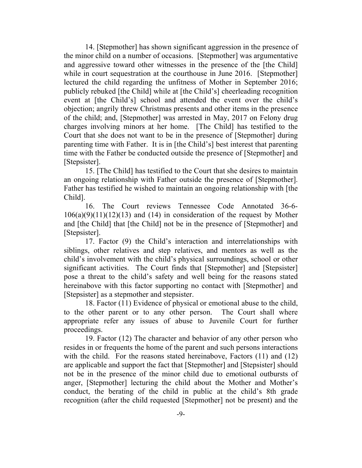14. [Stepmother] has shown significant aggression in the presence of the minor child on a number of occasions. [Stepmother] was argumentative and aggressive toward other witnesses in the presence of the [the Child] while in court sequestration at the courthouse in June 2016. [Stepmother] lectured the child regarding the unfitness of Mother in September 2016; publicly rebuked [the Child] while at [the Child's] cheerleading recognition event at [the Child's] school and attended the event over the child's objection; angrily threw Christmas presents and other items in the presence of the child; and, [Stepmother] was arrested in May, 2017 on Felony drug charges involving minors at her home. [The Child] has testified to the Court that she does not want to be in the presence of [Stepmother] during parenting time with Father. It is in [the Child's] best interest that parenting time with the Father be conducted outside the presence of [Stepmother] and [Stepsister].

15. [The Child] has testified to the Court that she desires to maintain an ongoing relationship with Father outside the presence of [Stepmother]. Father has testified he wished to maintain an ongoing relationship with [the Child].

16. The Court reviews Tennessee Code Annotated 36-6-  $106(a)(9)(11)(12)(13)$  and (14) in consideration of the request by Mother and [the Child] that [the Child] not be in the presence of [Stepmother] and [Stepsister].

17. Factor (9) the Child's interaction and interrelationships with siblings, other relatives and step relatives, and mentors as well as the child's involvement with the child's physical surroundings, school or other significant activities. The Court finds that [Stepmother] and [Stepsister] pose a threat to the child's safety and well being for the reasons stated hereinabove with this factor supporting no contact with [Stepmother] and [Stepsister] as a stepmother and stepsister.

18. Factor (11) Evidence of physical or emotional abuse to the child, to the other parent or to any other person. The Court shall where appropriate refer any issues of abuse to Juvenile Court for further proceedings.

19. Factor (12) The character and behavior of any other person who resides in or frequents the home of the parent and such persons interactions with the child. For the reasons stated hereinabove, Factors (11) and (12) are applicable and support the fact that [Stepmother] and [Stepsister] should not be in the presence of the minor child due to emotional outbursts of anger, [Stepmother] lecturing the child about the Mother and Mother's conduct, the berating of the child in public at the child's 8th grade recognition (after the child requested [Stepmother] not be present) and the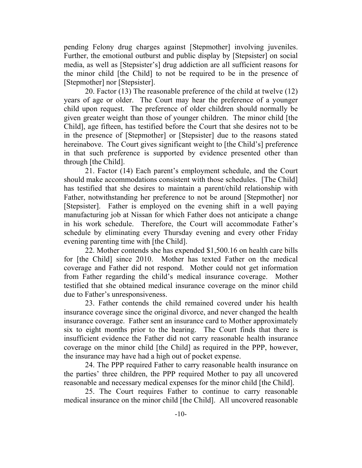pending Felony drug charges against [Stepmother] involving juveniles. Further, the emotional outburst and public display by [Stepsister] on social media, as well as [Stepsister's] drug addiction are all sufficient reasons for the minor child [the Child] to not be required to be in the presence of [Stepmother] nor [Stepsister].

20. Factor (13) The reasonable preference of the child at twelve (12) years of age or older. The Court may hear the preference of a younger child upon request. The preference of older children should normally be given greater weight than those of younger children. The minor child [the Child], age fifteen, has testified before the Court that she desires not to be in the presence of [Stepmother] or [Stepsister] due to the reasons stated hereinabove. The Court gives significant weight to [the Child's] preference in that such preference is supported by evidence presented other than through [the Child].

21. Factor (14) Each parent's employment schedule, and the Court should make accommodations consistent with those schedules. [The Child] has testified that she desires to maintain a parent/child relationship with Father, notwithstanding her preference to not be around [Stepmother] nor [Stepsister]. Father is employed on the evening shift in a well paying manufacturing job at Nissan for which Father does not anticipate a change in his work schedule. Therefore, the Court will accommodate Father's schedule by eliminating every Thursday evening and every other Friday evening parenting time with [the Child].

22. Mother contends she has expended \$1,500.16 on health care bills for [the Child] since 2010. Mother has texted Father on the medical coverage and Father did not respond. Mother could not get information from Father regarding the child's medical insurance coverage. Mother testified that she obtained medical insurance coverage on the minor child due to Father's unresponsiveness.

23. Father contends the child remained covered under his health insurance coverage since the original divorce, and never changed the health insurance coverage. Father sent an insurance card to Mother approximately six to eight months prior to the hearing. The Court finds that there is insufficient evidence the Father did not carry reasonable health insurance coverage on the minor child [the Child] as required in the PPP, however, the insurance may have had a high out of pocket expense.

24. The PPP required Father to carry reasonable health insurance on the parties' three children, the PPP required Mother to pay all uncovered reasonable and necessary medical expenses for the minor child [the Child].

25. The Court requires Father to continue to carry reasonable medical insurance on the minor child [the Child]. All uncovered reasonable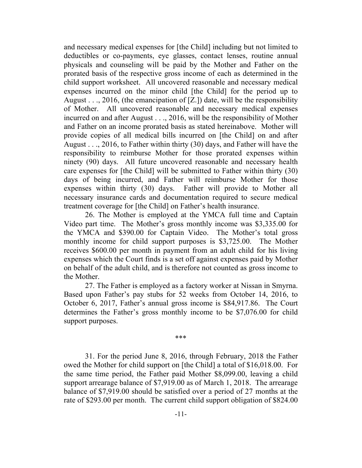and necessary medical expenses for [the Child] including but not limited to deductibles or co-payments, eye glasses, contact lenses, routine annual physicals and counseling will be paid by the Mother and Father on the prorated basis of the respective gross income of each as determined in the child support worksheet. All uncovered reasonable and necessary medical expenses incurred on the minor child [the Child] for the period up to August  $\ldots$ , 2016, (the emancipation of [Z.]) date, will be the responsibility of Mother. All uncovered reasonable and necessary medical expenses incurred on and after August . . ., 2016, will be the responsibility of Mother and Father on an income prorated basis as stated hereinabove. Mother will provide copies of all medical bills incurred on [the Child] on and after August . . ., 2016, to Father within thirty (30) days, and Father will have the responsibility to reimburse Mother for those prorated expenses within ninety (90) days. All future uncovered reasonable and necessary health care expenses for [the Child] will be submitted to Father within thirty (30) days of being incurred, and Father will reimburse Mother for those expenses within thirty (30) days. Father will provide to Mother all necessary insurance cards and documentation required to secure medical treatment coverage for [the Child] on Father's health insurance.

26. The Mother is employed at the YMCA full time and Captain Video part time. The Mother's gross monthly income was \$3,335.00 for the YMCA and \$390.00 for Captain Video. The Mother's total gross monthly income for child support purposes is \$3,725.00. The Mother receives \$600.00 per month in payment from an adult child for his living expenses which the Court finds is a set off against expenses paid by Mother on behalf of the adult child, and is therefore not counted as gross income to the Mother.

27. The Father is employed as a factory worker at Nissan in Smyrna. Based upon Father's pay stubs for 52 weeks from October 14, 2016, to October 6, 2017, Father's annual gross income is \$84,917.86. The Court determines the Father's gross monthly income to be \$7,076.00 for child support purposes.

\*\*\*

31. For the period June 8, 2016, through February, 2018 the Father owed the Mother for child support on [the Child] a total of \$16,018.00. For the same time period, the Father paid Mother \$8,099.00, leaving a child support arrearage balance of \$7,919.00 as of March 1, 2018. The arrearage balance of \$7,919.00 should be satisfied over a period of 27 months at the rate of \$293.00 per month. The current child support obligation of \$824.00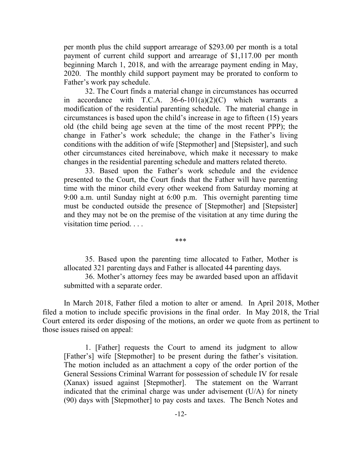per month plus the child support arrearage of \$293.00 per month is a total payment of current child support and arrearage of \$1,117.00 per month beginning March 1, 2018, and with the arrearage payment ending in May, 2020. The monthly child support payment may be prorated to conform to Father's work pay schedule.

32. The Court finds a material change in circumstances has occurred in accordance with T.C.A.  $36-6-101(a)(2)(C)$  which warrants a modification of the residential parenting schedule. The material change in circumstances is based upon the child's increase in age to fifteen (15) years old (the child being age seven at the time of the most recent PPP); the change in Father's work schedule; the change in the Father's living conditions with the addition of wife [Stepmother] and [Stepsister], and such other circumstances cited hereinabove, which make it necessary to make changes in the residential parenting schedule and matters related thereto.

33. Based upon the Father's work schedule and the evidence presented to the Court, the Court finds that the Father will have parenting time with the minor child every other weekend from Saturday morning at 9:00 a.m. until Sunday night at 6:00 p.m. This overnight parenting time must be conducted outside the presence of [Stepmother] and [Stepsister] and they may not be on the premise of the visitation at any time during the visitation time period. . . .

\*\*\*

35. Based upon the parenting time allocated to Father, Mother is allocated 321 parenting days and Father is allocated 44 parenting days.

36. Mother's attorney fees may be awarded based upon an affidavit submitted with a separate order.

In March 2018, Father filed a motion to alter or amend. In April 2018, Mother filed a motion to include specific provisions in the final order. In May 2018, the Trial Court entered its order disposing of the motions, an order we quote from as pertinent to those issues raised on appeal:

1. [Father] requests the Court to amend its judgment to allow [Father's] wife [Stepmother] to be present during the father's visitation. The motion included as an attachment a copy of the order portion of the General Sessions Criminal Warrant for possession of schedule IV for resale (Xanax) issued against [Stepmother]. The statement on the Warrant indicated that the criminal charge was under advisement (U/A) for ninety (90) days with [Stepmother] to pay costs and taxes. The Bench Notes and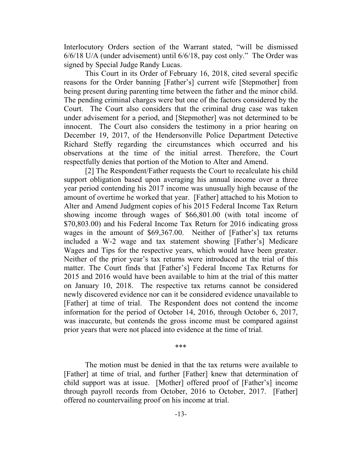Interlocutory Orders section of the Warrant stated, "will be dismissed 6/6/18 U/A (under advisement) until 6/6/18, pay cost only." The Order was signed by Special Judge Randy Lucas.

This Court in its Order of February 16, 2018, cited several specific reasons for the Order banning [Father's] current wife [Stepmother] from being present during parenting time between the father and the minor child. The pending criminal charges were but one of the factors considered by the Court. The Court also considers that the criminal drug case was taken under advisement for a period, and [Stepmother] was not determined to be innocent. The Court also considers the testimony in a prior hearing on December 19, 2017, of the Hendersonville Police Department Detective Richard Steffy regarding the circumstances which occurred and his observations at the time of the initial arrest. Therefore, the Court respectfully denies that portion of the Motion to Alter and Amend.

[2] The Respondent/Father requests the Court to recalculate his child support obligation based upon averaging his annual income over a three year period contending his 2017 income was unusually high because of the amount of overtime he worked that year. [Father] attached to his Motion to Alter and Amend Judgment copies of his 2015 Federal Income Tax Return showing income through wages of \$66,801.00 (with total income of \$70,803.00) and his Federal Income Tax Return for 2016 indicating gross wages in the amount of \$69,367.00. Neither of [Father's] tax returns included a W-2 wage and tax statement showing [Father's] Medicare Wages and Tips for the respective years, which would have been greater. Neither of the prior year's tax returns were introduced at the trial of this matter. The Court finds that [Father's] Federal Income Tax Returns for 2015 and 2016 would have been available to him at the trial of this matter on January 10, 2018. The respective tax returns cannot be considered newly discovered evidence nor can it be considered evidence unavailable to [Father] at time of trial. The Respondent does not contend the income information for the period of October 14, 2016, through October 6, 2017, was inaccurate, but contends the gross income must be compared against prior years that were not placed into evidence at the time of trial.

#### \*\*\*

The motion must be denied in that the tax returns were available to [Father] at time of trial, and further [Father] knew that determination of child support was at issue. [Mother] offered proof of [Father's] income through payroll records from October, 2016 to October, 2017. [Father] offered no countervailing proof on his income at trial.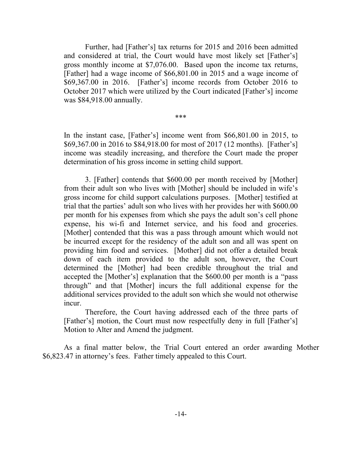Further, had [Father's] tax returns for 2015 and 2016 been admitted and considered at trial, the Court would have most likely set [Father's] gross monthly income at \$7,076.00. Based upon the income tax returns, [Father] had a wage income of \$66,801.00 in 2015 and a wage income of \$69,367.00 in 2016. [Father's] income records from October 2016 to October 2017 which were utilized by the Court indicated [Father's] income was \$84,918.00 annually.

\*\*\*

In the instant case, [Father's] income went from \$66,801.00 in 2015, to \$69,367.00 in 2016 to \$84,918.00 for most of 2017 (12 months). [Father's] income was steadily increasing, and therefore the Court made the proper determination of his gross income in setting child support.

3. [Father] contends that \$600.00 per month received by [Mother] from their adult son who lives with [Mother] should be included in wife's gross income for child support calculations purposes. [Mother] testified at trial that the parties' adult son who lives with her provides her with \$600.00 per month for his expenses from which she pays the adult son's cell phone expense, his wi-fi and Internet service, and his food and groceries. [Mother] contended that this was a pass through amount which would not be incurred except for the residency of the adult son and all was spent on providing him food and services. [Mother] did not offer a detailed break down of each item provided to the adult son, however, the Court determined the [Mother] had been credible throughout the trial and accepted the [Mother's] explanation that the \$600.00 per month is a "pass through" and that [Mother] incurs the full additional expense for the additional services provided to the adult son which she would not otherwise incur.

Therefore, the Court having addressed each of the three parts of [Father's] motion, the Court must now respectfully deny in full [Father's] Motion to Alter and Amend the judgment.

As a final matter below, the Trial Court entered an order awarding Mother \$6,823.47 in attorney's fees. Father timely appealed to this Court.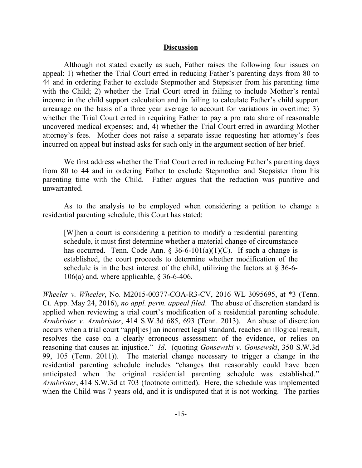#### **Discussion**

Although not stated exactly as such, Father raises the following four issues on appeal: 1) whether the Trial Court erred in reducing Father's parenting days from 80 to 44 and in ordering Father to exclude Stepmother and Stepsister from his parenting time with the Child; 2) whether the Trial Court erred in failing to include Mother's rental income in the child support calculation and in failing to calculate Father's child support arrearage on the basis of a three year average to account for variations in overtime; 3) whether the Trial Court erred in requiring Father to pay a pro rata share of reasonable uncovered medical expenses; and, 4) whether the Trial Court erred in awarding Mother attorney's fees. Mother does not raise a separate issue requesting her attorney's fees incurred on appeal but instead asks for such only in the argument section of her brief.

We first address whether the Trial Court erred in reducing Father's parenting days from 80 to 44 and in ordering Father to exclude Stepmother and Stepsister from his parenting time with the Child. Father argues that the reduction was punitive and unwarranted.

As to the analysis to be employed when considering a petition to change a residential parenting schedule, this Court has stated:

[W]hen a court is considering a petition to modify a residential parenting schedule, it must first determine whether a material change of circumstance has occurred. Tenn. Code Ann.  $\S$  36-6-101(a)(1)(C). If such a change is established, the court proceeds to determine whether modification of the schedule is in the best interest of the child, utilizing the factors at  $\S 36-6$ -106(a) and, where applicable, § 36-6-406.

*Wheeler v. Wheeler*, No. M2015-00377-COA-R3-CV, 2016 WL 3095695, at \*3 (Tenn. Ct. App. May 24, 2016), *no appl. perm. appeal filed*. The abuse of discretion standard is applied when reviewing a trial court's modification of a residential parenting schedule. *Armbrister v. Armbrister*, 414 S.W.3d 685, 693 (Tenn. 2013). An abuse of discretion occurs when a trial court "appl[ies] an incorrect legal standard, reaches an illogical result, resolves the case on a clearly erroneous assessment of the evidence, or relies on reasoning that causes an injustice." *Id*. (quoting *Gonsewski v. Gonsewski*, 350 S.W.3d 99, 105 (Tenn. 2011)). The material change necessary to trigger a change in the residential parenting schedule includes "changes that reasonably could have been anticipated when the original residential parenting schedule was established." *Armbrister*, 414 S.W.3d at 703 (footnote omitted). Here, the schedule was implemented when the Child was 7 years old, and it is undisputed that it is not working. The parties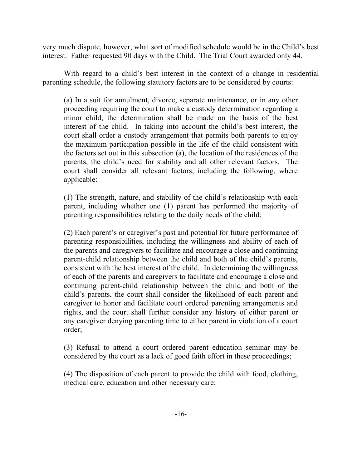very much dispute, however, what sort of modified schedule would be in the Child's best interest. Father requested 90 days with the Child. The Trial Court awarded only 44.

With regard to a child's best interest in the context of a change in residential parenting schedule, the following statutory factors are to be considered by courts:

(a) In a suit for annulment, divorce, separate maintenance, or in any other proceeding requiring the court to make a custody determination regarding a minor child, the determination shall be made on the basis of the best interest of the child. In taking into account the child's best interest, the court shall order a custody arrangement that permits both parents to enjoy the maximum participation possible in the life of the child consistent with the factors set out in this subsection (a), the location of the residences of the parents, the child's need for stability and all other relevant factors. The court shall consider all relevant factors, including the following, where applicable:

(1) The strength, nature, and stability of the child's relationship with each parent, including whether one (1) parent has performed the majority of parenting responsibilities relating to the daily needs of the child;

(2) Each parent's or caregiver's past and potential for future performance of parenting responsibilities, including the willingness and ability of each of the parents and caregivers to facilitate and encourage a close and continuing parent-child relationship between the child and both of the child's parents, consistent with the best interest of the child. In determining the willingness of each of the parents and caregivers to facilitate and encourage a close and continuing parent-child relationship between the child and both of the child's parents, the court shall consider the likelihood of each parent and caregiver to honor and facilitate court ordered parenting arrangements and rights, and the court shall further consider any history of either parent or any caregiver denying parenting time to either parent in violation of a court order;

(3) Refusal to attend a court ordered parent education seminar may be considered by the court as a lack of good faith effort in these proceedings;

(4) The disposition of each parent to provide the child with food, clothing, medical care, education and other necessary care;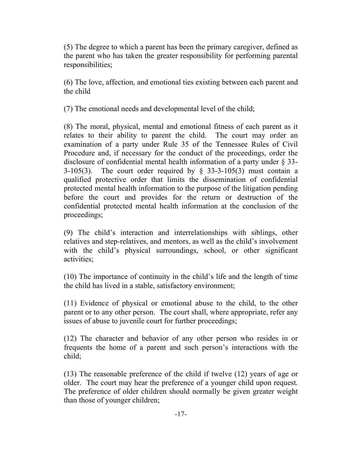(5) The degree to which a parent has been the primary caregiver, defined as the parent who has taken the greater responsibility for performing parental responsibilities;

(6) The love, affection, and emotional ties existing between each parent and the child

(7) The emotional needs and developmental level of the child;

(8) The moral, physical, mental and emotional fitness of each parent as it relates to their ability to parent the child. The court may order an examination of a party under Rule 35 of the Tennessee Rules of Civil Procedure and, if necessary for the conduct of the proceedings, order the disclosure of confidential mental health information of a party under § 33- 3-105(3). The court order required by  $\S$  33-3-105(3) must contain a qualified protective order that limits the dissemination of confidential protected mental health information to the purpose of the litigation pending before the court and provides for the return or destruction of the confidential protected mental health information at the conclusion of the proceedings;

(9) The child's interaction and interrelationships with siblings, other relatives and step-relatives, and mentors, as well as the child's involvement with the child's physical surroundings, school, or other significant activities;

(10) The importance of continuity in the child's life and the length of time the child has lived in a stable, satisfactory environment;

(11) Evidence of physical or emotional abuse to the child, to the other parent or to any other person. The court shall, where appropriate, refer any issues of abuse to juvenile court for further proceedings;

(12) The character and behavior of any other person who resides in or frequents the home of a parent and such person's interactions with the child;

(13) The reasonable preference of the child if twelve (12) years of age or older. The court may hear the preference of a younger child upon request. The preference of older children should normally be given greater weight than those of younger children;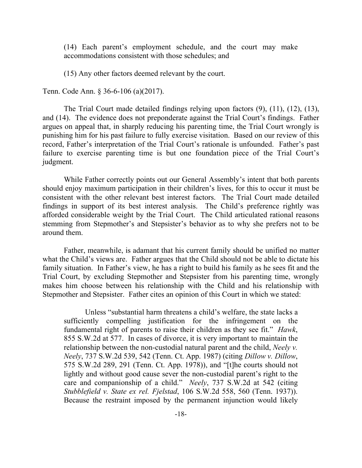(14) Each parent's employment schedule, and the court may make accommodations consistent with those schedules; and

(15) Any other factors deemed relevant by the court.

Tenn. Code Ann. § 36-6-106 (a)(2017).

The Trial Court made detailed findings relying upon factors (9), (11), (12), (13), and (14). The evidence does not preponderate against the Trial Court's findings. Father argues on appeal that, in sharply reducing his parenting time, the Trial Court wrongly is punishing him for his past failure to fully exercise visitation. Based on our review of this record, Father's interpretation of the Trial Court's rationale is unfounded. Father's past failure to exercise parenting time is but one foundation piece of the Trial Court's judgment.

While Father correctly points out our General Assembly's intent that both parents should enjoy maximum participation in their children's lives, for this to occur it must be consistent with the other relevant best interest factors. The Trial Court made detailed findings in support of its best interest analysis. The Child's preference rightly was afforded considerable weight by the Trial Court. The Child articulated rational reasons stemming from Stepmother's and Stepsister's behavior as to why she prefers not to be around them.

Father, meanwhile, is adamant that his current family should be unified no matter what the Child's views are. Father argues that the Child should not be able to dictate his family situation. In Father's view, he has a right to build his family as he sees fit and the Trial Court, by excluding Stepmother and Stepsister from his parenting time, wrongly makes him choose between his relationship with the Child and his relationship with Stepmother and Stepsister. Father cites an opinion of this Court in which we stated:

Unless "substantial harm threatens a child's welfare, the state lacks a sufficiently compelling justification for the infringement on the fundamental right of parents to raise their children as they see fit." *Hawk*, 855 S.W.2d at 577. In cases of divorce, it is very important to maintain the relationship between the non-custodial natural parent and the child, *Neely v. Neely*, 737 S.W.2d 539, 542 (Tenn. Ct. App. 1987) (citing *Dillow v. Dillow*, 575 S.W.2d 289, 291 (Tenn. Ct. App. 1978)), and "[t]he courts should not lightly and without good cause sever the non-custodial parent's right to the care and companionship of a child." *Neely*, 737 S.W.2d at 542 (citing *Stubblefield v. State ex rel. Fjelstad*, 106 S.W.2d 558, 560 (Tenn. 1937)). Because the restraint imposed by the permanent injunction would likely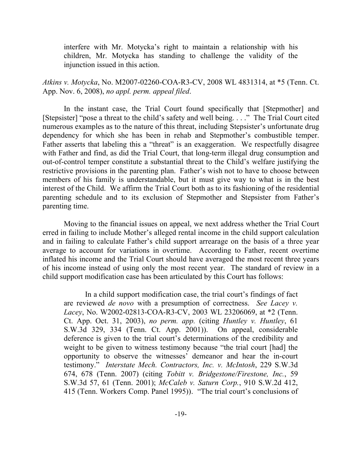interfere with Mr. Motycka's right to maintain a relationship with his children, Mr. Motycka has standing to challenge the validity of the injunction issued in this action.

*Atkins v. Motycka*, No. M2007-02260-COA-R3-CV, 2008 WL 4831314, at \*5 (Tenn. Ct. App. Nov. 6, 2008), *no appl. perm. appeal filed*.

In the instant case, the Trial Court found specifically that [Stepmother] and [Stepsister] "pose a threat to the child's safety and well being. . . ." The Trial Court cited numerous examples as to the nature of this threat, including Stepsister's unfortunate drug dependency for which she has been in rehab and Stepmother's combustible temper. Father asserts that labeling this a "threat" is an exaggeration. We respectfully disagree with Father and find, as did the Trial Court, that long-term illegal drug consumption and out-of-control temper constitute a substantial threat to the Child's welfare justifying the restrictive provisions in the parenting plan. Father's wish not to have to choose between members of his family is understandable, but it must give way to what is in the best interest of the Child. We affirm the Trial Court both as to its fashioning of the residential parenting schedule and to its exclusion of Stepmother and Stepsister from Father's parenting time.

Moving to the financial issues on appeal, we next address whether the Trial Court erred in failing to include Mother's alleged rental income in the child support calculation and in failing to calculate Father's child support arrearage on the basis of a three year average to account for variations in overtime. According to Father, recent overtime inflated his income and the Trial Court should have averaged the most recent three years of his income instead of using only the most recent year. The standard of review in a child support modification case has been articulated by this Court has follows:

In a child support modification case, the trial court's findings of fact are reviewed *de novo* with a presumption of correctness. *See Lacey v. Lacey*, No. W2002-02813-COA-R3-CV, 2003 WL 23206069, at \*2 (Tenn. Ct. App. Oct. 31, 2003), *no perm. app.* (citing *Huntley v. Huntley*, 61 S.W.3d 329, 334 (Tenn. Ct. App. 2001)). On appeal, considerable deference is given to the trial court's determinations of the credibility and weight to be given to witness testimony because "the trial court [had] the opportunity to observe the witnesses' demeanor and hear the in-court testimony." *Interstate Mech. Contractors, Inc. v. McIntosh*, 229 S.W.3d 674, 678 (Tenn. 2007) (citing *Tobitt v. Bridgestone/Firestone, Inc.*, 59 S.W.3d 57, 61 (Tenn. 2001); *McCaleb v. Saturn Corp.*, 910 S.W.2d 412, 415 (Tenn. Workers Comp. Panel 1995)). "The trial court's conclusions of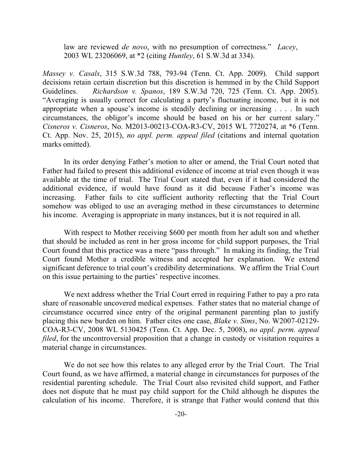law are reviewed *de novo*, with no presumption of correctness." *Lacey*, 2003 WL 23206069, at \*2 (citing *Huntley*, 61 S.W.3d at 334).

*Massey v. Casals*, 315 S.W.3d 788, 793-94 (Tenn. Ct. App. 2009). Child support decisions retain certain discretion but this discretion is hemmed in by the Child Support Guidelines. *Richardson v. Spanos*, 189 S.W.3d 720, 725 (Tenn. Ct. App. 2005). "Averaging is usually correct for calculating a party's fluctuating income, but it is not appropriate when a spouse's income is steadily declining or increasing . . . . In such circumstances, the obligor's income should be based on his or her current salary." *Cisneros v. Cisneros*, No. M2013-00213-COA-R3-CV, 2015 WL 7720274, at \*6 (Tenn. Ct. App. Nov. 25, 2015), *no appl. perm. appeal filed* (citations and internal quotation marks omitted).

In its order denying Father's motion to alter or amend, the Trial Court noted that Father had failed to present this additional evidence of income at trial even though it was available at the time of trial. The Trial Court stated that, even if it had considered the additional evidence, if would have found as it did because Father's income was increasing. Father fails to cite sufficient authority reflecting that the Trial Court somehow was obliged to use an averaging method in these circumstances to determine his income. Averaging is appropriate in many instances, but it is not required in all.

With respect to Mother receiving \$600 per month from her adult son and whether that should be included as rent in her gross income for child support purposes, the Trial Court found that this practice was a mere "pass through." In making its finding, the Trial Court found Mother a credible witness and accepted her explanation. We extend significant deference to trial court's credibility determinations. We affirm the Trial Court on this issue pertaining to the parties' respective incomes.

We next address whether the Trial Court erred in requiring Father to pay a pro rata share of reasonable uncovered medical expenses. Father states that no material change of circumstance occurred since entry of the original permanent parenting plan to justify placing this new burden on him. Father cites one case, *Blake v. Sims*, No. W2007-02129- COA-R3-CV, 2008 WL 5130425 (Tenn. Ct. App. Dec. 5, 2008), *no appl. perm. appeal filed*, for the uncontroversial proposition that a change in custody or visitation requires a material change in circumstances.

We do not see how this relates to any alleged error by the Trial Court. The Trial Court found, as we have affirmed, a material change in circumstances for purposes of the residential parenting schedule. The Trial Court also revisited child support, and Father does not dispute that he must pay child support for the Child although he disputes the calculation of his income. Therefore, it is strange that Father would contend that this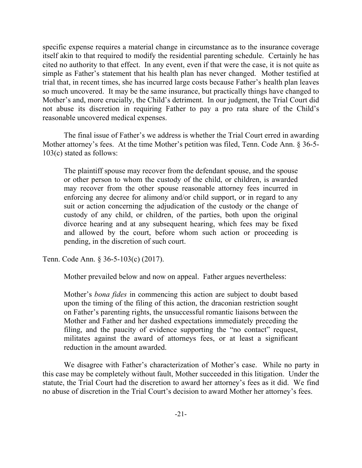specific expense requires a material change in circumstance as to the insurance coverage itself akin to that required to modify the residential parenting schedule. Certainly he has cited no authority to that effect. In any event, even if that were the case, it is not quite as simple as Father's statement that his health plan has never changed. Mother testified at trial that, in recent times, she has incurred large costs because Father's health plan leaves so much uncovered. It may be the same insurance, but practically things have changed to Mother's and, more crucially, the Child's detriment. In our judgment, the Trial Court did not abuse its discretion in requiring Father to pay a pro rata share of the Child's reasonable uncovered medical expenses.

The final issue of Father's we address is whether the Trial Court erred in awarding Mother attorney's fees. At the time Mother's petition was filed, Tenn. Code Ann. § 36-5-103(c) stated as follows:

The plaintiff spouse may recover from the defendant spouse, and the spouse or other person to whom the custody of the child, or children, is awarded may recover from the other spouse reasonable attorney fees incurred in enforcing any decree for alimony and/or child support, or in regard to any suit or action concerning the adjudication of the custody or the change of custody of any child, or children, of the parties, both upon the original divorce hearing and at any subsequent hearing, which fees may be fixed and allowed by the court, before whom such action or proceeding is pending, in the discretion of such court.

Tenn. Code Ann. § 36-5-103(c) (2017).

Mother prevailed below and now on appeal. Father argues nevertheless:

Mother's *bona fides* in commencing this action are subject to doubt based upon the timing of the filing of this action, the draconian restriction sought on Father's parenting rights, the unsuccessful romantic liaisons between the Mother and Father and her dashed expectations immediately preceding the filing, and the paucity of evidence supporting the "no contact" request, militates against the award of attorneys fees, or at least a significant reduction in the amount awarded.

We disagree with Father's characterization of Mother's case. While no party in this case may be completely without fault, Mother succeeded in this litigation. Under the statute, the Trial Court had the discretion to award her attorney's fees as it did. We find no abuse of discretion in the Trial Court's decision to award Mother her attorney's fees.